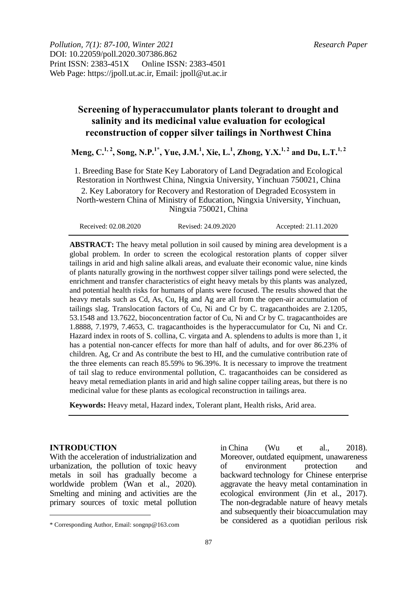*Pollution, 7(1): 87-100, Winter 2021 Research Paper* DOI: 10.22059/poll.2020.307386.862 Print ISSN: 2383-451X Online ISSN: 2383-4501 Web Page: https://jpoll.ut.ac.ir, Email: jpoll@ut.ac.ir

# **Screening of hyperaccumulator plants tolerant to drought and salinity and its medicinal value evaluation for ecological reconstruction of copper silver tailings in Northwest China**

**Meng, C. 1, 2 , Song, N.P.1\* , Yue, J.M.<sup>1</sup> , Xie, L. 1 , Zhong, Y.X.1, 2 and Du, L.T.1, 2**

1. Breeding Base for State Key Laboratory of Land Degradation and Ecological Restoration in Northwest China, Ningxia University, Yinchuan 750021, China 2. Key Laboratory for Recovery and Restoration of Degraded Ecosystem in North-western China of Ministry of Education, Ningxia University, Yinchuan, Ningxia 750021, China

| Accepted: 21.11.2020<br>Received: 02.08.2020<br>Revised: 24.09.2020 |
|---------------------------------------------------------------------|
|---------------------------------------------------------------------|

**ABSTRACT:** The heavy metal pollution in soil caused by mining area development is a global problem. In order to screen the ecological restoration plants of copper silver tailings in arid and high saline alkali areas, and evaluate their economic value, nine kinds of plants naturally growing in the northwest copper silver tailings pond were selected, the enrichment and transfer characteristics of eight heavy metals by this plants was analyzed, and potential health risks for humans of plants were focused. The results showed that the heavy metals such as Cd, As, Cu, Hg and Ag are all from the open-air accumulation of tailings slag. Translocation factors of Cu, Ni and Cr by C. tragacanthoides are 2.1205, 53.1548 and 13.7622, bioconcentration factor of Cu, Ni and Cr by C. tragacanthoides are 1.8888, 7.1979, 7.4653, C. tragacanthoides is the hyperaccumulator for Cu, Ni and Cr. Hazard index in roots of S. collina, C. virgata and A. splendens to adults is more than 1, it has a potential non-cancer effects for more than half of adults, and for over 86.23% of children. Ag, Cr and As contribute the best to HI, and the cumulative contribution rate of the three elements can reach 85.59% to 96.39%. It is necessary to improve the treatment of tail slag to reduce environmental pollution, C. tragacanthoides can be considered as heavy metal remediation plants in arid and high saline copper tailing areas, but there is no medicinal value for these plants as ecological reconstruction in tailings area.

**Keywords:** Heavy metal, Hazard index, Tolerant plant, Health risks, Arid area.

### **INTRODUCTION**

 $\overline{a}$ 

With the acceleration of industrialization and urbanization, the pollution of toxic heavy metals in soil has gradually become a worldwide problem (Wan et al., 2020). Smelting and mining and activities are the primary sources of toxic metal pollution

in China (Wu et al., 2018). Moreover, outdated equipment, unawareness<br>of environment protection and of environment protection and backward technology for Chinese enterprise aggravate the heavy metal contamination in ecological environment (Jin et al., 2017). The non-degradable nature of heavy metals and subsequently their bioaccumulation may be considered as a quotidian perilous risk

<sup>\*</sup> Corresponding Author, Email: songnp@163.com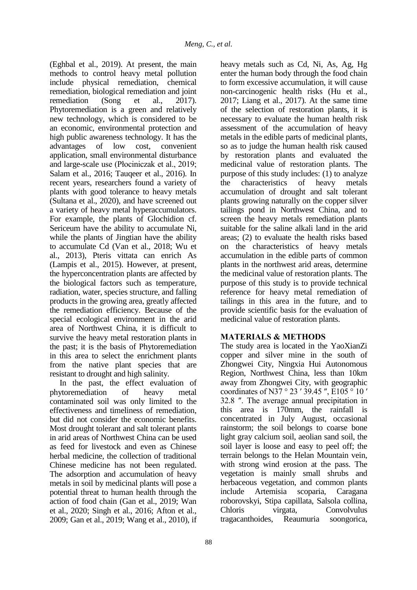(Eghbal et al., 2019). At present, the main methods to control heavy metal pollution include physical remediation, chemical remediation, biological remediation and joint remediation (Song et al., 2017). Phytoremediation is a green and relatively new technology, which is considered to be an economic, environmental protection and high public awareness technology. It has the advantages of low cost. convenient advantages of low cost, convenient application, small environmental disturbance and large-scale use (Płociniczak et al., 2019; Salam et al., 2016; Tauqeer et al., 2016). In recent years, researchers found a variety of plants with good tolerance to heavy metals (Sultana et al., 2020), and have screened out a variety of heavy metal hyperaccumulators. For example, the plants of Glochidion cf. Sericeum have the ability to accumulate Ni, while the plants of Jingtian have the ability to accumulate Cd (Van et al., 2018; Wu et al., 2013), Pteris vittata can enrich As (Lampis et al., 2015). However, at present, the hyperconcentration plants are affected by the biological factors such as temperature, radiation, water, species structure, and falling products in the growing area, greatly affected the remediation efficiency. Because of the special ecological environment in the arid area of Northwest China, it is difficult to survive the heavy metal restoration plants in the past; it is the basis of Phytoremediation in this area to select the enrichment plants from the native plant species that are resistant to drought and high salinity.

In the past, the effect evaluation of phytoremediation of heavy metal contaminated soil was only limited to the effectiveness and timeliness of remediation, but did not consider the economic benefits. Most drought tolerant and salt tolerant plants in arid areas of Northwest China can be used as feed for livestock and even as Chinese herbal medicine, the collection of traditional Chinese medicine has not been regulated. The adsorption and accumulation of heavy metals in soil by medicinal plants will pose a potential threat to human health through the action of food chain (Gan et al., 2019; Wan et al., 2020; Singh et al., 2016; Afton et al., 2009; Gan et al., 2019; Wang et al., 2010), if

heavy metals such as Cd, Ni, As, Ag, Hg enter the human body through the food chain to form excessive accumulation, it will cause non-carcinogenic health risks (Hu et al., 2017; Liang et al., 2017). At the same time of the selection of restoration plants, it is necessary to evaluate the human health risk assessment of the accumulation of heavy metals in the edible parts of medicinal plants, so as to judge the human health risk caused by restoration plants and evaluated the medicinal value of restoration plants. The purpose of this study includes: (1) to analyze the characteristics of heavy metals accumulation of drought and salt tolerant plants growing naturally on the copper silver tailings pond in Northwest China, and to screen the heavy metals remediation plants suitable for the saline alkali land in the arid areas; (2) to evaluate the health risks based on the characteristics of heavy metals accumulation in the edible parts of common plants in the northwest arid areas, determine the medicinal value of restoration plants. The purpose of this study is to provide technical reference for heavy metal remediation of tailings in this area in the future, and to provide scientific basis for the evaluation of medicinal value of restoration plants.

## **MATERIALS & METHODS**

The study area is located in the YaoXianZi copper and silver mine in the south of Zhongwei City, Ningxia Hui Autonomous Region, Northwest China, less than 10km away from Zhongwei City, with geographic coordinates of N37 ° 23 ′ 39.45 ″, E105 ° 10 ′ 32.8 ″. The average annual precipitation in this area is 170mm, the rainfall is concentrated in July August, occasional rainstorm; the soil belongs to coarse bone light gray calcium soil, aeolian sand soil, the soil layer is loose and easy to peel off; the terrain belongs to the Helan Mountain vein, with strong wind erosion at the pass. The vegetation is mainly small shrubs and herbaceous vegetation, and common plants include Artemisia scoparia, Caragana roborovskyi, Stipa capillata, Salsola collina, Chloris virgata, Convolvulus tragacanthoides, Reaumuria soongorica,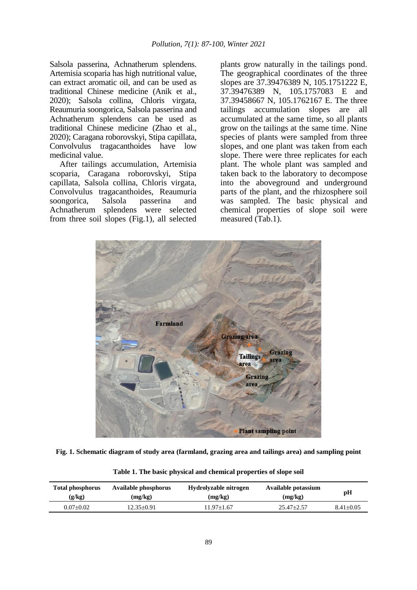Salsola passerina, Achnatherum splendens. Artemisia scoparia has high nutritional value, can extract aromatic oil, and can be used as traditional Chinese medicine (Anik et al., 2020); Salsola collina, Chloris virgata, Reaumuria soongorica, Salsola passerina and Achnatherum splendens can be used as traditional Chinese medicine (Zhao et al., 2020); Caragana roborovskyi, Stipa capillata, Convolvulus tragacanthoides have low medicinal value.

After tailings accumulation, Artemisia scoparia, Caragana roborovskyi, Stipa capillata, Salsola collina, Chloris virgata, Convolvulus tragacanthoides, Reaumuria soongorica, Salsola passerina and Achnatherum splendens were selected from three soil slopes (Fig.1), all selected

plants grow naturally in the tailings pond. The geographical coordinates of the three slopes are 37.39476389 N, 105.1751222 E, 37.39476389 N, 105.1757083 E and 37.39458667 N, 105.1762167 E. The three tailings accumulation slopes are all accumulated at the same time, so all plants grow on the tailings at the same time. Nine species of plants were sampled from three slopes, and one plant was taken from each slope. There were three replicates for each plant. The whole plant was sampled and taken back to the laboratory to decompose into the aboveground and underground parts of the plant, and the rhizosphere soil was sampled. The basic physical and chemical properties of slope soil were measured (Tab.1).



**Fig. 1. Schematic diagram of study area (farmland, grazing area and tailings area) and sampling point**

| <b>Total phosphorus</b> | Available phosphorus | Hydrolyzable nitrogen | Available potassium | рH            |
|-------------------------|----------------------|-----------------------|---------------------|---------------|
| (g/kg)                  | (mg/kg)              | (mg/kg)               | (mg/kg)             |               |
| $0.07+0.02$             | 12.35+0.91           | $1.97 + 1.67$         | $25.47 + 2.57$      | $8.41 + 0.05$ |

**Table 1. The basic physical and chemical properties of slope soil**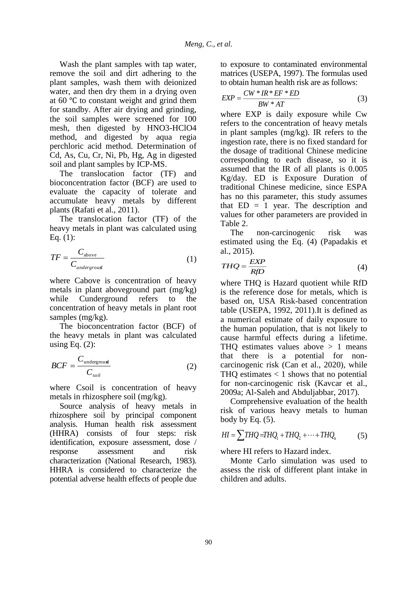Wash the plant samples with tap water, remove the soil and dirt adhering to the plant samples, wash them with deionized water, and then dry them in a drying oven at 60 ℃ to constant weight and grind them for standby. After air drying and grinding, the soil samples were screened for 100 mesh, then digested by HNO3-HClO4 method, and digested by aqua regia perchloric acid method. Determination of Cd, As, Cu, Cr, Ni, Pb, Hg, Ag in digested soil and plant samples by ICP-MS.

The translocation factor (TF) and bioconcentration factor (BCF) are used to evaluate the capacity of tolerate and accumulate heavy metals by different plants (Rafati et al., 2011).

The translocation factor (TF) of the heavy metals in plant was calculated using Eq.  $(1)$ :

$$
TF = \frac{C_{\text{above}}}{C_{\text{underground}}}
$$
 (1)

where Cabove is concentration of heavy metals in plant aboveground part (mg/kg) while Cunderground refers to the concentration of heavy metals in plant root samples (mg/kg).

The bioconcentration factor (BCF) of the heavy metals in plant was calculated using Eq.  $(2)$ :

$$
BCF = \frac{C_{\text{underground}}}{C_{\text{soil}}} \tag{2}
$$

where Csoil is concentration of heavy metals in rhizosphere soil (mg/kg).

Source analysis of heavy metals in rhizosphere soil by principal component analysis. Human health risk assessment (HHRA) consists of four steps: risk identification, exposure assessment, dose / response assessment and risk characterization (National Research, 1983). HHRA is considered to characterize the potential adverse health effects of people due to exposure to contaminated environmental matrices (USEPA, 1997). The formulas used to obtain human health risk are as follows:

$$
EXP = \frac{CW * IR * EF * ED}{BW * AT}
$$
 (3)

where EXP is daily exposure while Cw refers to the concentration of heavy metals in plant samples (mg/kg). IR refers to the ingestion rate, there is no fixed standard for the dosage of traditional Chinese medicine corresponding to each disease, so it is assumed that the IR of all plants is 0.005 Kg/day. ED is Exposure Duration of traditional Chinese medicine, since ESPA has no this parameter, this study assumes that  $ED = 1$  year. The description and values for other parameters are provided in Table 2.

The non-carcinogenic risk was estimated using the Eq. (4) (Papadakis et al., 2015).

$$
THQ = \frac{EXP}{RfD} \tag{4}
$$

where THQ is Hazard quotient while RfD is the reference dose for metals, which is based on, USA Risk-based concentration table (USEPA, 1992, 2011).It is defined as a numerical estimate of daily exposure to the human population, that is not likely to cause harmful effects during a lifetime. THQ estimates values above  $> 1$  means that there is a potential for noncarcinogenic risk (Can et al., 2020), while THQ estimates  $<$  1 shows that no potential for non-carcinogenic risk (Kavcar et al., 2009a; Al-Saleh and Abduljabbar, 2017).

Comprehensive evaluation of the health risk of various heavy metals to human body by Eq.  $(5)$ .

$$
HI = \sum THQ = THQ_1 + THQ_2 + \dots + THQ_n \tag{5}
$$

where HI refers to Hazard index.

Monte Carlo simulation was used to assess the risk of different plant intake in children and adults.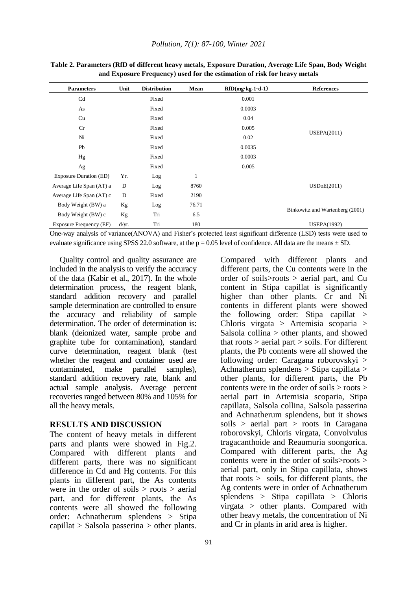| <b>Parameters</b>             | Unit  | <b>Distribution</b> | Mean  | $RfD(mg \cdot kg \cdot 1 \cdot d \cdot 1)$ | <b>References</b>               |  |  |
|-------------------------------|-------|---------------------|-------|--------------------------------------------|---------------------------------|--|--|
| Cd                            |       | Fixed               |       | 0.001                                      |                                 |  |  |
| As                            |       | Fixed               |       | 0.0003                                     |                                 |  |  |
| Cu                            |       | Fixed               |       | 0.04                                       |                                 |  |  |
| Cr                            |       | Fixed               |       | 0.005                                      |                                 |  |  |
| Ni                            |       | Fixed               |       | 0.02                                       | <b>USEPA(2011)</b>              |  |  |
| Pb                            |       | Fixed               |       | 0.0035                                     |                                 |  |  |
| Hg                            |       | Fixed               |       | 0.0003                                     |                                 |  |  |
| Ag                            |       | Fixed               |       | 0.005                                      |                                 |  |  |
| <b>Exposure Duration (ED)</b> | Yr.   | Log                 | 1     |                                            |                                 |  |  |
| Average Life Span (AT) a      | D     | Log                 | 8760  |                                            | <b>USDoE(2011)</b>              |  |  |
| Average Life Span (AT) c      | D     | Fixed               | 2190  |                                            |                                 |  |  |
| Body Weight (BW) a            | Kg    | Log                 | 76.71 |                                            |                                 |  |  |
| Body Weight (BW) c            | Kg    | Tri                 | 6.5   |                                            | Binkowitz and Wartenberg (2001) |  |  |
| Exposure Frequency (EF)       | d/yr. | Tri                 | 180   |                                            | <b>USEPA(1992)</b>              |  |  |

**Table 2. Parameters (RfD of different heavy metals, Exposure Duration, Average Life Span, Body Weight and Exposure Frequency) used for the estimation of risk for heavy metals**

One-way analysis of variance(ANOVA) and Fisher's protected least significant difference (LSD) tests were used to evaluate significance using SPSS 22.0 software, at the  $p = 0.05$  level of confidence. All data are the means  $\pm$  SD.

Quality control and quality assurance are included in the analysis to verify the accuracy of the data (Kabir et al., 2017). In the whole determination process, the reagent blank, standard addition recovery and parallel sample determination are controlled to ensure the accuracy and reliability of sample determination. The order of determination is: blank (deionized water, sample probe and graphite tube for contamination), standard curve determination, reagent blank (test whether the reagent and container used are contaminated, make parallel samples), standard addition recovery rate, blank and actual sample analysis. Average percent recoveries ranged between 80% and 105% for all the heavy metals.

#### **RESULTS AND DISCUSSION**

The content of heavy metals in different parts and plants were showed in Fig.2. Compared with different plants and different parts, there was no significant difference in Cd and Hg contents. For this plants in different part, the As contents were in the order of soils  $>$  roots  $>$  aerial part, and for different plants, the As contents were all showed the following order: Achnatherum splendens > Stipa capillat > Salsola passerina > other plants.

Compared with different plants and different parts, the Cu contents were in the order of soils>roots > aerial part, and Cu content in Stipa capillat is significantly higher than other plants. Cr and Ni contents in different plants were showed the following order: Stipa capillat > Chloris virgata > Artemisia scoparia > Salsola collina > other plants, and showed that roots  $>$  aerial part  $>$  soils. For different plants, the Pb contents were all showed the following order: Caragana roborovskyi > Achnatherum splendens > Stipa capillata > other plants, for different parts, the Pb contents were in the order of soils > roots > aerial part in Artemisia scoparia, Stipa capillata, Salsola collina, Salsola passerina and Achnatherum splendens, but it shows soils > aerial part > roots in Caragana roborovskyi, Chloris virgata, Convolvulus tragacanthoide and Reaumuria soongorica. Compared with different parts, the Ag contents were in the order of soils>roots > aerial part, only in Stipa capillata, shows that roots > soils, for different plants, the Ag contents were in order of Achnatherum splendens > Stipa capillata > Chloris virgata > other plants. Compared with other heavy metals, the concentration of Ni and Cr in plants in arid area is higher.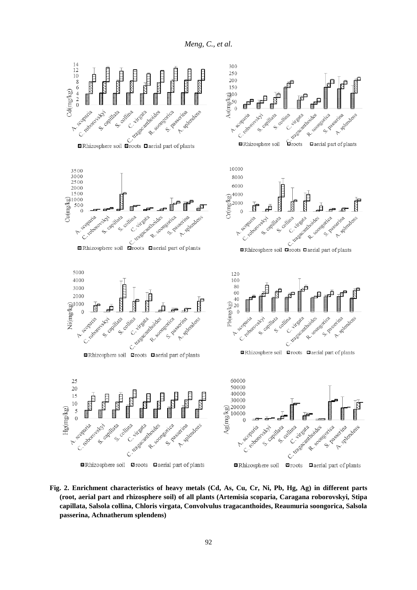*Meng, C., et al.*



**Fig. 2. Enrichment characteristics of heavy metals (Cd, As, Cu, Cr, Ni, Pb, Hg, Ag) in different parts (root, aerial part and rhizosphere soil) of all plants (Artemisia scoparia, Caragana roborovskyi, Stipa capillata, Salsola collina, Chloris virgata, Convolvulus tragacanthoides, Reaumuria soongorica, Salsola passerina, Achnatherum splendens)**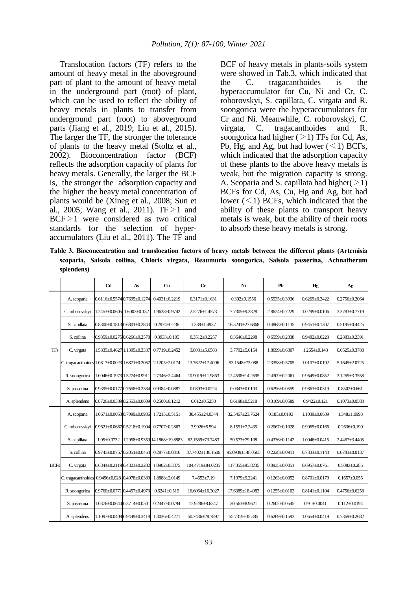Translocation factors (TF) refers to the amount of heavy metal in the aboveground part of plant to the amount of heavy metal in the underground part (root) of plant, which can be used to reflect the ability of heavy metals in plants to transfer from underground part (root) to aboveground parts (Jiang et al., 2019; Liu et al., 2015). The larger the TF, the stronger the tolerance of plants to the heavy metal (Stoltz et al., 2002). Bioconcentration factor (BCF) reflects the adsorption capacity of plants for heavy metals. Generally, the larger the BCF is, the stronger the adsorption capacity and the higher the heavy metal concentration of plants would be (Xineg et al., 2008; Sun et al., 2005; Wang et al., 2011).  $TF > 1$  and BCF>1 were considered as two critical standards for the selection of hyperaccumulators (Liu et al., 2011). The TF and

BCF of heavy metals in plants-soils system were showed in Tab.3, which indicated that the C. tragacanthoides is the hyperaccumulator for Cu, Ni and Cr, C. roborovskyi, S. capillata, C. virgata and R. soongorica were the hyperaccumulators for Cr and Ni. Meanwhile, C. roborovskyi, C. virgata, C. tragacanthoides and R. soongorica had higher  $(>1)$  TFs for Cd, As, Pb, Hg, and Ag, but had lower  $(<1)$  BCFs, which indicated that the adsorption capacity of these plants to the above heavy metals is weak, but the migration capacity is strong. A. Scoparia and S. capillata had higher( $>1$ ) BCFs for Cd, As, Cu, Hg and Ag, but had lower  $(<1)$  BCFs, which indicated that the ability of these plants to transport heavy metals is weak, but the ability of their roots to absorb these heavy metals is strong.

**Table 3. Bioconcentration and translocation factors of heavy metals between the different plants (Artemisia scoparia, Salsola collina, Chloris virgata, Reaumuria soongorica, Salsola passerina, Achnatherum splendens)**

|             |                                                | C <sub>d</sub>    | As                                      | Cu                            | $_{\rm Cr}$         | Ni                    | Pb                  | Hg                  | Αg                  |
|-------------|------------------------------------------------|-------------------|-----------------------------------------|-------------------------------|---------------------|-----------------------|---------------------|---------------------|---------------------|
| <b>TFs</b>  | A. scoparia                                    |                   | $0.6116 \pm 0.55740.7695 \pm 0.1274$    | $0.4031 + 0.2219$             | $0.3171 + 0.1631$   | $0.302 \pm 0.1556$    | $0.5535 \pm 0.3936$ | $0.6269 + 0.3422$   | $0.2756 \pm 0.2064$ |
|             | C. roborovskyi                                 |                   | 1.2453±0.0605 1.6003±0.132              | 1.9638±0.9742                 | 2.5276±1.4573       | 7.7305±9.3828         | $2.8624 \pm 0.7229$ | $1.0299 \pm 0.0106$ | 3.3783±0.7719       |
|             | S. capillata                                   |                   | $0.8300 \pm 0.18130.6801 \pm 0.2843$    | $0.2974 \pm 0.236$            | 1.389±1.4937        | $16.5241 \pm 27.6868$ | $0.4868 \pm 0.1135$ | $0.9451 \pm 0.1307$ | $0.5195 \pm 0.4425$ |
|             | S. collina                                     |                   | $0.9859 \pm 0.0275$ 0.6266 $\pm 0.2578$ | $0.3933 \pm 0.105$            | $0.3512 + 0.2257$   | $0.3646 \pm 0.2298$   | $0.6559 + 0.2338$   | $0.9482 + 0.0223$   | $0.2883 + 0.2391$   |
|             | C. virgata                                     |                   | 1.5835±0.4627 1.1395±0.3337             | $0.7719 + 0.2452$             | $3.8031 \pm 5.6583$ | $3.7792 \pm 5.6154$   | $1.8699 \pm 0.6307$ | $1.2654 \pm 0.143$  | $0.6525 \pm 0.3788$ |
|             | C. tragacanthoides 1.0817±0.0023 1.6871±0.2067 |                   |                                         | $2.1205 \pm 2.0174$           | 13.7622±17.4096     | 53.1548±73.088        | 2.3358±0.5705       | $1.0107 \pm 0.0192$ | $5.1645 \pm 2.0725$ |
|             | R. soongorica                                  |                   | 1.0046±0.1973 1.5274±0.9911             | 2.7346±2.4464                 | 10.9019±11.9863     | 12.4598±14.2695       | $2.4309 \pm 0.2061$ | $0.9649 \pm 0.0852$ | $3.1269 \pm 3.3558$ |
|             | S. passerina                                   |                   | 0.9395±0.0177 0.7658±0.2384             | $0.9384 + 0.0887$             | $0.0893 \pm 0.0224$ | $0.0343 + 0.0193$     | $0.6296 \pm 0.0559$ | $0.9863 + 0.0319$   | $0.8502 \pm 0.661$  |
|             | A. splendens                                   |                   | 0.8726±0.0389 0.2553±0.0689             | $0.2500 + 0.1212$             | $0.612 \pm 0.5258$  | $0.6198 \pm 0.5218$   | $0.3109 \pm 0.0589$ | $0.9422 + 0.121$    | $0.1073 \pm 0.0583$ |
|             | A. scoparia                                    |                   | 1.0671±0.0053 0.7099±0.0936             | $1.7215 \pm 0.5151$           | 30.455±24.0344      | 32.5467±23.7624       | $0.185 \pm 0.0193$  | 1.1039±0.0639       | $1.348 \pm 1.0993$  |
|             | C. roborovskyi                                 |                   | 0.9621±0.0667 0.5218±0.1904             | $0.7707 + 0.2863$             | 7.9926±5.594        | $8.1551 \pm 7.2435$   | $0.2067 \pm 0.1028$ | $0.9965 \pm 0.0166$ | $0.2636 \pm 0.199$  |
|             | S. capillata                                   | $1.05 \pm 0.0732$ |                                         | 1.2958±0.9359 14.1868±19.8883 | 62.1589±73.7483     | 59.573±79.108         | $0.4336 \pm 0.1142$ | 1.0046±0.0415       | 2.4467±3.4405       |
|             | S. collina                                     |                   | 0.9745±0.0757 0.2051±0.0464             | $0.2877 \pm 0.0316$           | 87.7402±136.1606    | 95.0939±148.0505      | $0.2228 + 0.0911$   | $0.7333 + 0.1143$   | $0.0783 \pm 0.0137$ |
| <b>BCFs</b> | C. virgata                                     |                   | 0.6844±0.2119 0.4323±0.2282             | $1.0902 + 0.3375$             | 104.4719±84.0235    | 117.355±95.8235       | $0.0935 \pm 0.0051$ | $0.6957 + 0.0761$   | $0.5083 + 0.285$    |
|             | C. tragacanthoides 0.9496±0.028 0.4978±0.0389  |                   |                                         | 1.8888±2.0149                 | $7.4653 \pm 7.19$   | 7.1979±9.2241         | $0.1263 \pm 0.0052$ | $0.8701 + 0.0179$   | $0.1657 \pm 0.055$  |
|             | R. soongorica                                  |                   | 0.9760±0.0771 0.4457±0.4973             | $0.6241 \pm 0.519$            | 16.6064±16.3027     | 17.6389±18.4983       | $0.1255 \pm 0.0103$ | $0.8141 \pm 0.1104$ | $0.4756 \pm 0.6258$ |
|             | S. passerina                                   |                   | 1.0376±0.0644 0.3714±0.0501             | $0.2447 \pm 0.0794$           | 17.9286±8.6347      | $20.563 \pm 8.9621$   | $0.2602 \pm 0.0545$ | $0.91 \pm 0.0041$   | $0.112 \pm 0.0194$  |
|             | A. splendens                                   |                   | 1.1097±0.0409 0.9449±0.3418             | 1.3036±0.4271                 | 50.7436±28.7897     | 55.7319±35.385        | $0.6269 \pm 0.1593$ | $1.0654 \pm 0.0419$ | $0.7369 \pm 0.2682$ |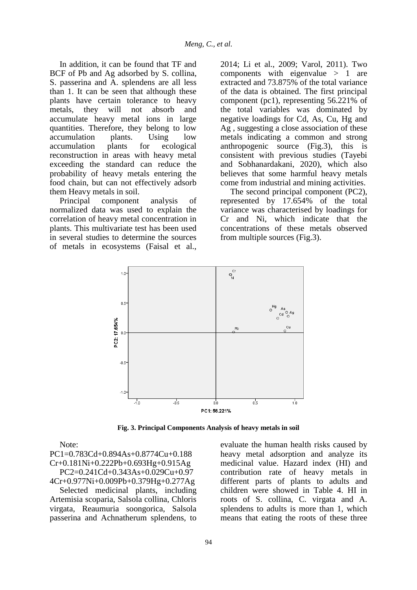In addition, it can be found that TF and BCF of Pb and Ag adsorbed by S. collina, S. passerina and A. splendens are all less than 1. It can be seen that although these plants have certain tolerance to heavy metals, they will not absorb and accumulate heavy metal ions in large quantities. Therefore, they belong to low accumulation plants. Using low accumulation plants for ecological reconstruction in areas with heavy metal exceeding the standard can reduce the probability of heavy metals entering the food chain, but can not effectively adsorb them Heavy metals in soil.

Principal component analysis of normalized data was used to explain the correlation of heavy metal concentration in plants. This multivariate test has been used in several studies to determine the sources of metals in ecosystems (Faisal et al.,

2014; Li et al., 2009; Varol, 2011). Two components with eigenvalue > 1 are extracted and 73.875% of the total variance of the data is obtained. The first principal component (pc1), representing 56.221% of the total variables was dominated by negative loadings for Cd, As, Cu, Hg and Ag , suggesting a close association of these metals indicating a common and strong anthropogenic source (Fig.3), this is consistent with previous studies (Tayebi and Sobhanardakani, 2020), which also believes that some harmful heavy metals come from industrial and mining activities.

The second principal component (PC2), represented by 17.654% of the total variance was characterised by loadings for Cr and Ni, which indicate that the concentrations of these metals observed from multiple sources (Fig.3).



**Fig. 3. Principal Components Analysis of heavy metals in soil**

Note:

PC1=0.783Cd+0.894As+0.8774Cu+0.188 Cr+0.181Ni+0.222Pb+0.693Hg+0.915Ag PC2=0.241Cd+0.343As+0.029Cu+0.97 4Cr+0.977Ni+0.009Pb+0.379Hg+0.277Ag

Selected medicinal plants, including Artemisia scoparia, Salsola collina, Chloris virgata, Reaumuria soongorica, Salsola passerina and Achnatherum splendens, to

evaluate the human health risks caused by heavy metal adsorption and analyze its medicinal value. Hazard index (HI) and contribution rate of heavy metals in different parts of plants to adults and children were showed in Table 4. HI in roots of S. collina, C. virgata and A. splendens to adults is more than 1, which means that eating the roots of these three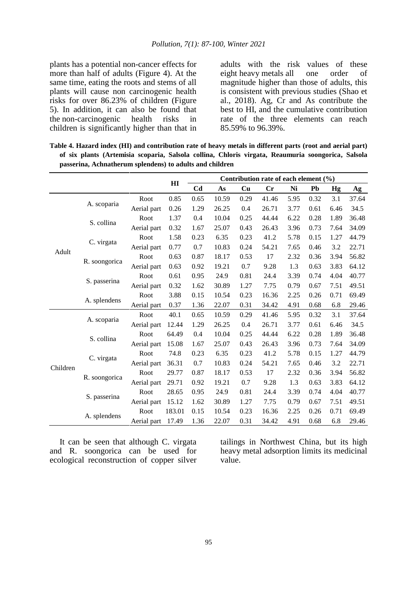plants has a potential non-cancer effects for more than half of adults (Figure 4). At the same time, eating the roots and stems of all plants will cause non carcinogenic health risks for over 86.23% of children (Figure 5). In addition, it can also be found that the non-carcinogenic health risks in the non-carcinogenic health children is significantly higher than that in

adults with the risk values of these<br>eight heavy metals all one order of eight heavy metals all one order of magnitude higher than those of adults, this is consistent with previous studies (Shao et al., 2018). Ag, Cr and As contribute the best to HI, and the cumulative contribution rate of the three elements can reach 85.59% to 96.39%.

**Table 4. Hazard index (HI) and contribution rate of heavy metals in different parts (root and aerial part) of six plants (Artemisia scoparia, Salsola collina, Chloris virgata, Reaumuria soongorica, Salsola passerina, Achnatherum splendens) to adults and children**

|          |               |             |                | Contribution rate of each element (%) |       |      |       |      |      |      |       |
|----------|---------------|-------------|----------------|---------------------------------------|-------|------|-------|------|------|------|-------|
|          |               |             | H <sub>I</sub> | C <sub>d</sub>                        | As    | Cu   | Cr    | Ni   | Pb   | Hg   | Ag    |
|          |               | Root        | 0.85           | 0.65                                  | 10.59 | 0.29 | 41.46 | 5.95 | 0.32 | 3.1  | 37.64 |
|          | A. scoparia   | Aerial part | 0.26           | 1.29                                  | 26.25 | 0.4  | 26.71 | 3.77 | 0.61 | 6.46 | 34.5  |
|          |               | Root        | 1.37           | 0.4                                   | 10.04 | 0.25 | 44.44 | 6.22 | 0.28 | 1.89 | 36.48 |
|          | S. collina    | Aerial part | 0.32           | 1.67                                  | 25.07 | 0.43 | 26.43 | 3.96 | 0.73 | 7.64 | 34.09 |
|          |               | Root        | 1.58           | 0.23                                  | 6.35  | 0.23 | 41.2  | 5.78 | 0.15 | 1.27 | 44.79 |
| Adult    | C. virgata    | Aerial part | 0.77           | 0.7                                   | 10.83 | 0.24 | 54.21 | 7.65 | 0.46 | 3.2  | 22.71 |
|          |               | Root        | 0.63           | 0.87                                  | 18.17 | 0.53 | 17    | 2.32 | 0.36 | 3.94 | 56.82 |
|          | R. soongorica | Aerial part | 0.63           | 0.92                                  | 19.21 | 0.7  | 9.28  | 1.3  | 0.63 | 3.83 | 64.12 |
|          |               | Root        | 0.61           | 0.95                                  | 24.9  | 0.81 | 24.4  | 3.39 | 0.74 | 4.04 | 40.77 |
|          | S. passerina  | Aerial part | 0.32           | 1.62                                  | 30.89 | 1.27 | 7.75  | 0.79 | 0.67 | 7.51 | 49.51 |
|          | A. splendens  | Root        | 3.88           | 0.15                                  | 10.54 | 0.23 | 16.36 | 2.25 | 0.26 | 0.71 | 69.49 |
|          |               | Aerial part | 0.37           | 1.36                                  | 22.07 | 0.31 | 34.42 | 4.91 | 0.68 | 6.8  | 29.46 |
|          |               | Root        | 40.1           | 0.65                                  | 10.59 | 0.29 | 41.46 | 5.95 | 0.32 | 3.1  | 37.64 |
|          | A. scoparia   | Aerial part | 12.44          | 1.29                                  | 26.25 | 0.4  | 26.71 | 3.77 | 0.61 | 6.46 | 34.5  |
|          | S. collina    | Root        | 64.49          | 0.4                                   | 10.04 | 0.25 | 44.44 | 6.22 | 0.28 | 1.89 | 36.48 |
|          |               | Aerial part | 15.08          | 1.67                                  | 25.07 | 0.43 | 26.43 | 3.96 | 0.73 | 7.64 | 34.09 |
|          |               | Root        | 74.8           | 0.23                                  | 6.35  | 0.23 | 41.2  | 5.78 | 0.15 | 1.27 | 44.79 |
| Children | C. virgata    | Aerial part | 36.31          | 0.7                                   | 10.83 | 0.24 | 54.21 | 7.65 | 0.46 | 3.2  | 22.71 |
|          |               | Root        | 29.77          | 0.87                                  | 18.17 | 0.53 | 17    | 2.32 | 0.36 | 3.94 | 56.82 |
|          | R. soongorica | Aerial part | 29.71          | 0.92                                  | 19.21 | 0.7  | 9.28  | 1.3  | 0.63 | 3.83 | 64.12 |
|          |               | Root        | 28.65          | 0.95                                  | 24.9  | 0.81 | 24.4  | 3.39 | 0.74 | 4.04 | 40.77 |
|          | S. passerina  | Aerial part | 15.12          | 1.62                                  | 30.89 | 1.27 | 7.75  | 0.79 | 0.67 | 7.51 | 49.51 |
|          |               | Root        | 183.01         | 0.15                                  | 10.54 | 0.23 | 16.36 | 2.25 | 0.26 | 0.71 | 69.49 |
|          | A. splendens  | Aerial part | 17.49          | 1.36                                  | 22.07 | 0.31 | 34.42 | 4.91 | 0.68 | 6.8  | 29.46 |

It can be seen that although C. virgata and R. soongorica can be used for ecological reconstruction of copper silver tailings in Northwest China, but its high heavy metal adsorption limits its medicinal value.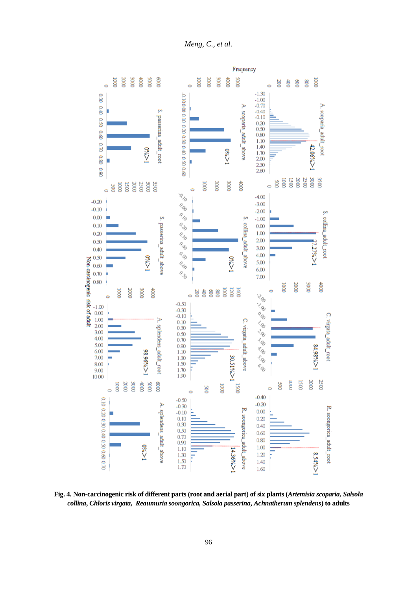*Meng, C., et al.*



**Fig. 4. Non-carcinogenic risk of different parts (root and aerial part) of six plants (***Artemisia scoparia***,** *Salsola collina***,** *Chloris virgata***,** *Reaumuria soongorica, Salsola passerina***,** *Achnatherum splendens***) to adults**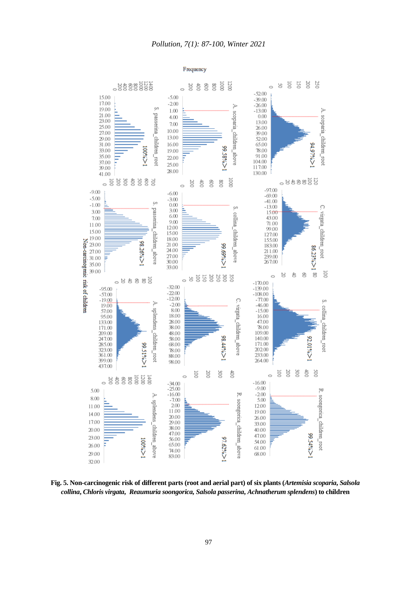

**Fig. 5. Non-carcinogenic risk of different parts (root and aerial part) of six plants (***Artemisia scoparia***,** *Salsola collina***,** *Chloris virgata***,** *Reaumuria soongorica, Salsola passerina***,** *Achnatherum splendens***) to children**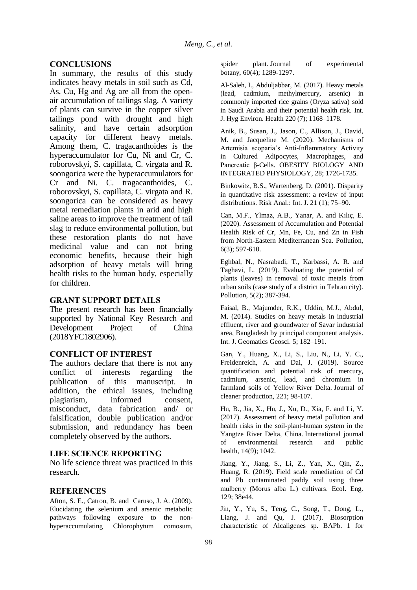### **CONCLUSIONS**

In summary, the results of this study indicates heavy metals in soil such as Cd, As, Cu, Hg and Ag are all from the openair accumulation of tailings slag. A variety of plants can survive in the copper silver tailings pond with drought and high salinity, and have certain adsorption capacity for different heavy metals. Among them, C. tragacanthoides is the hyperaccumulator for Cu, Ni and Cr, C. roborovskyi, S. capillata, C. virgata and R. soongorica were the hyperaccumulators for Cr and Ni. C. tragacanthoides, C. roborovskyi, S. capillata, C. virgata and R. soongorica can be considered as heavy metal remediation plants in arid and high saline areas to improve the treatment of tail slag to reduce environmental pollution, but these restoration plants do not have medicinal value and can not bring economic benefits, because their high adsorption of heavy metals will bring health risks to the human body, especially for children.

#### **GRANT SUPPORT DETAILS**

The present research has been financially supported by National Key Research and Development Project of China (2018YFC1802906).

#### **CONFLICT OF INTEREST**

The authors declare that there is not any conflict of interests regarding the publication of this manuscript. In addition, the ethical issues, including plagiarism, informed consent, misconduct, data fabrication and/ or falsification, double publication and/or submission, and redundancy has been completely observed by the authors.

#### **LIFE SCIENCE REPORTING**

No life science threat was practiced in this research.

#### **REFERENCES**

Afton, S. E., Catron, B. and Caruso, J. A. (2009). Elucidating the selenium and arsenic metabolic pathways following exposure to the nonhyperaccumulating Chlorophytum comosum, spider plant. Journal of experimental botany, 60(4); 1289-1297.

Al-Saleh, I., Abduljabbar, M. (2017). Heavy metals (lead, cadmium, methylmercury, arsenic) in commonly imported rice grains (Oryza sativa) sold in Saudi Arabia and their potential health risk. Int. J. Hyg Environ. Health 220 (7); 1168–1178.

Anik, B., Susan, J., Jason, C., Allison, J., David, M. and Jacqueline M. (2020). Mechanisms of Artemisia scoparia's Anti-Inflammatory Activity in Cultured Adipocytes, Macrophages, and Pancreatic β-Cells. OBESITY BIOLOGY AND INTEGRATED PHYSIOLOGY, 28; 1726-1735.

Binkowitz, B.S., Wartenberg, D. (2001). Disparity in quantitative risk assessment: a review of input distributions. Risk Anal.: Int. J. 21 (1); 75–90.

Can, M.F., Ylmaz, A.B., Yanar, A. and Kılıç, E. (2020). Assessment of Accumulation and Potential Health Risk of Cr, Mn, Fe, Cu, and Zn in Fish from North-Eastern Mediterranean Sea. Pollution, 6(3); 597-610.

Eghbal, N., Nasrabadi, T., Karbassi, A. R. and Taghavi, L. (2019). Evaluating the potential of plants (leaves) in removal of toxic metals from urban soils (case study of a district in Tehran city). Pollution, 5(2); 387-394.

Faisal, B., Majumder, R.K., Uddin, M.J., Abdul, M. (2014). Studies on heavy metals in industrial effluent, river and groundwater of Savar industrial area, Bangladesh by principal component analysis. Int. J. Geomatics Geosci. 5; 182–191.

Gan, Y., Huang, X., Li, S., Liu, N., Li, Y. C., Freidenreich, A. and Dai, J. (2019). Source quantification and potential risk of mercury, cadmium, arsenic, lead, and chromium in farmland soils of Yellow River Delta. Journal of cleaner production, 221; 98-107.

Hu, B., Jia, X., Hu, J., Xu, D., Xia, F. and Li, Y. (2017). Assessment of heavy metal pollution and health risks in the soil-plant-human system in the Yangtze River Delta, China. International journal of environmental research and public health, 14(9); 1042.

Jiang, Y., Jiang, S., Li, Z., Yan, X., Qin, Z., Huang, R. (2019). Field scale remediation of Cd and Pb contaminated paddy soil using three mulberry (Morus alba L.) cultivars. Ecol. Eng. 129; 38e44.

Jin, Y., Yu, S., Teng, C., Song, T., Dong, L., Liang, J. and Qu, J. (2017). Biosorption characteristic of Alcaligenes sp. BAPb. 1 for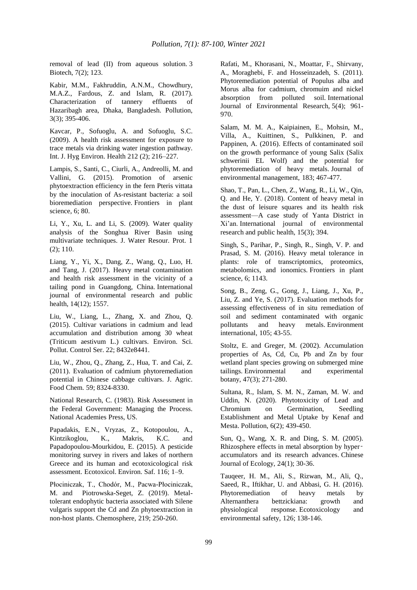removal of lead (II) from aqueous solution. 3 Biotech, 7(2); 123.

Kabir, M.M., Fakhruddin, A.N.M., Chowdhury, M.A.Z., Fardous, Z. and Islam, R. (2017). Characterization of tannery effluents of Hazaribagh area, Dhaka, Bangladesh. Pollution, 3(3); 395-406.

Kavcar, P., Sofuoglu, A. and Sofuoglu, S.C. (2009). A health risk assessment for exposure to trace metals via drinking water ingestion pathway. Int. J. Hyg Environ. Health 212 (2); 216–227.

Lampis, S., Santi, C., Ciurli, A., Andreolli, M. and Vallini, G. (2015). Promotion of arsenic phytoextraction efficiency in the fern Pteris vittata by the inoculation of As-resistant bacteria: a soil bioremediation perspective. Frontiers in plant science, 6; 80.

Li, Y., Xu, L. and Li, S. (2009). Water quality analysis of the Songhua River Basin using multivariate techniques. J. Water Resour. Prot. 1 (2); 110.

Liang, Y., Yi, X., Dang, Z., Wang, Q., Luo, H. and Tang, J. (2017). Heavy metal contamination and health risk assessment in the vicinity of a tailing pond in Guangdong, China. International journal of environmental research and public health, 14(12); 1557.

Liu, W., Liang, L., Zhang, X. and Zhou, Q. (2015). Cultivar variations in cadmium and lead accumulation and distribution among 30 wheat (Triticum aestivum L.) cultivars. Environ. Sci. Pollut. Control Ser. 22; 8432e8441.

Liu, W., Zhou, Q., Zhang, Z., Hua, T. and Cai, Z. (2011). Evaluation of cadmium phytoremediation potential in Chinese cabbage cultivars. J. Agric. Food Chem. 59; 8324-8330.

National Research, C. (1983). Risk Assessment in the Federal Government: Managing the Process. National Academies Press, US.

Papadakis, E.N., Vryzas, Z., Kotopoulou, A., Kintzikoglou, K., Makris, K.C. and Papadopoulou-Mourkidou, E. (2015). A pesticide monitoring survey in rivers and lakes of northern Greece and its human and ecotoxicological risk assessment. Ecotoxicol. Environ. Saf. 116; 1–9.

Płociniczak, T., Chodór, M., Pacwa-Płociniczak, M. and Piotrowska-Seget, Z. (2019). Metaltolerant endophytic bacteria associated with Silene vulgaris support the Cd and Zn phytoextraction in non-host plants. Chemosphere, 219; 250-260.

Rafati, M., Khorasani, N., Moattar, F., Shirvany, A., Moraghebi, F. and Hosseinzadeh, S. (2011). Phytoremediation potential of Populus alba and Morus alba for cadmium, chromuim and nickel absorption from polluted soil. International Journal of Environmental Research, 5(4); 961- 970.

Salam, M. M. A., Kaipiainen, E., Mohsin, M., Villa, A., Kuittinen, S., Pulkkinen, P. and Pappinen, A. (2016). Effects of contaminated soil on the growth performance of young Salix (Salix schwerinii EL Wolf) and the potential for phytoremediation of heavy metals. Journal of environmental management, 183; 467-477.

Shao, T., Pan, L., Chen, Z., Wang, R., Li, W., Qin, Q. and He, Y. (2018). Content of heavy metal in the dust of leisure squares and its health risk assessment—A case study of Yanta District in Xi'an. International journal of environmental research and public health, 15(3); 394.

Singh, S., Parihar, P., Singh, R., Singh, V. P. and Prasad, S. M. (2016). Heavy metal tolerance in plants: role of transcriptomics, proteomics, metabolomics, and ionomics. Frontiers in plant science, 6; 1143.

Song, B., Zeng, G., Gong, J., Liang, J., Xu, P., Liu, Z. and Ye, S. (2017). Evaluation methods for assessing effectiveness of in situ remediation of soil and sediment contaminated with organic pollutants and heavy metals. Environment international, 105; 43-55.

Stoltz, E. and Greger, M. (2002). Accumulation properties of As, Cd, Cu, Pb and Zn by four wetland plant species growing on submerged mine tailings. Environmental and experimental botany, 47(3); 271-280.

Sultana, R., Islam, S. M. N., Zaman, M. W. and Uddin, N. (2020). Phytotoxicity of Lead and Chromium on Germination, Seedling Establishment and Metal Uptake by Kenaf and Mesta. Pollution, 6(2); 439-450.

Sun, Q., Wang, X. R. and Ding, S. M. (2005). Rhizosphere effects in metal absorption by hyperaccumulators and its research advances. Chinese Journal of Ecology, 24(1); 30-36.

Tauqeer, H. M., Ali, S., Rizwan, M., Ali, Q., Saeed, R., Iftikhar, U. and Abbasi, G. H. (2016). Phytoremediation of heavy metals by Alternanthera bettzickiana: growth and physiological response. Ecotoxicology and environmental safety, 126; 138-146.